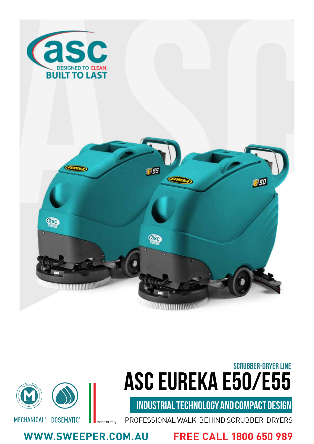





PROFESSIONAL WALK-BEHIND SCRUBBER-DRYERS made in Italy

**WWW.SWEEPER.COM.AU FREE CALL 1800 650 989**

MECHANICAL<sup>®</sup> DOSEMATIC<sup>®</sup>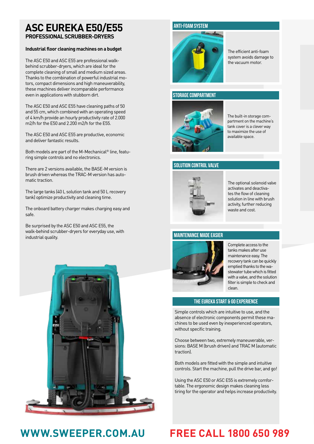# **PROFESSIONAL SCRUBBER-DRYERS**

#### **Industrial floor cleaning machines on a budget**

The ASC E50 and ASC E55 are professional walkbehind scrubber-dryers, which are ideal for the complete cleaning of small and medium sized areas. Thanks to the combination of powerful industrial motors, compact dimensions and high maneuverability, these machines deliver incomparable performance even in applications with stubborn dirt.

The ASC E50 and ASC E55 have cleaning paths of 50 and 55 cm, which combined with an operating speed of 4 km/h provide an hourly productivity rate of 2.000 m2/h for the E50 and 2.200 m2/h for the E55.

The ASC E50 and ASC E55 are productive, economic and deliver fantastic results.

Both models are part of the M-Mechanical® line, featuring simple controls and no electronics.

There are 2 versions available, the BASE-M version is brush driven whereas the TRAC-M version has automatic traction.

The large tanks (40 L solution tank and 50 L recovery tank) optimize productivity and cleaning time.

The onboard battery charger makes charging easy and safe.

Be surprised by the ASC E50 and ASC E55, the walk-behind scrubber-dryers for everyday use, with industrial quality.



### **ANTI-FOAM SYSTEM**



The efficient anti-foam system avoids damage to the vacuum motor.

#### **STORAGE COMPARTMENT**



The built-in storage compartment on the machine's tank cover is a clever way to maximize the use of available space.

#### **SOLUTION CONTROL VALVE**



The optional solenoid valve activates and deactivates the flow of cleaning solution in line with brush activity, further reducing waste and cost.

#### **MAINTENANCE MADE EASIER**



Complete access to the tanks makes after use maintenance easy. The recovery tank can be quickly emptied thanks to the wastewater tube which is fitted with a valve, and the solution filter is simple to check and clean.

#### **THE EUREKA START & GO EXPERIENCE**

Simple controls which are intuitive to use, and the absence of electronic components permit these machines to be used even by inexperienced operators, without specific training.

Choose between two, extremely maneuverable, versions: BASE M (brush driven) and TRAC M (automatic traction).

Both models are fitted with the simple and intuitive controls. Start the machine, pull the drive bar, and go!

Using the ASC E50 or ASC E55 is extremely comfortable. The ergonomic design makes cleaning less tiring for the operator and helps increase productivity.

### **WWW.SWEEPER.COM.AU FREE CALL 1800 650 989**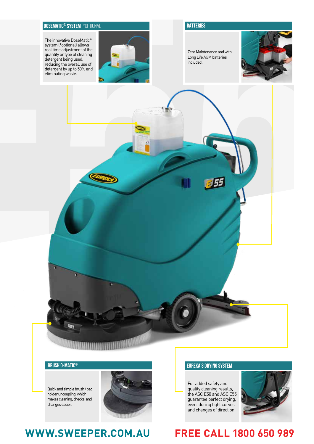#### **DOSEMATIC® SYSTEM** \*OPTIONAL

system (\*optional) allows real time adjustment of the quantity or type of cleaning detergent being used, reducing the overall use of detergent by up to 50% and eliminating waste.



#### **BATTERIES**

Zero Maintenance and with Long Life AGM batteries Long Life AGM batteries included.





Quick and simple brush / pad holder uncoupling, which makes cleaning, checks, and changes easier.



## **WWW.SWEEPER.COM.AU FREE CALL 1800 650 989**

### **BRUSH'O-MATIC® EUREKA'S DRYING SYSTEM**

For added safety and quality cleaning results, the ASC E50 and ASC E55 guarantee perfect drying, even during tight curves and changes of direction.